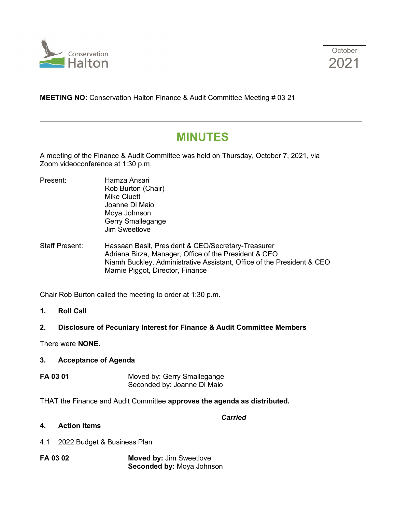



**MEETING NO:** Conservation Halton Finance & Audit Committee Meeting # 03 21

# **MINUTES**

A meeting of the Finance & Audit Committee was held on Thursday, October 7, 2021, via Zoom videoconference at 1:30 p.m.

- Present: Hamza Ansari Rob Burton (Chair) Mike Cluett Joanne Di Maio Moya Johnson Gerry Smallegange Jim Sweetlove
- Staff Present: Hassaan Basit, President & CEO/Secretary-Treasurer Adriana Birza, Manager, Office of the President & CEO Niamh Buckley, Administrative Assistant, Office of the President & CEO Marnie Piggot, Director, Finance

Chair Rob Burton called the meeting to order at 1:30 p.m.

**1. Roll Call**

# **2. Disclosure of Pecuniary Interest for Finance & Audit Committee Members**

There were **NONE.**

## **3. Acceptance of Agenda**

**FA 03 01** Moved by: Gerry Smallegange Seconded by: Joanne Di Maio

THAT the Finance and Audit Committee **approves the agenda as distributed.**

#### *Carried*

- **4. Action Items**
- 4.1 2022 Budget & Business Plan
- **FA 03 02 Moved by:** Jim Sweetlove  **Seconded by:** Moya Johnson